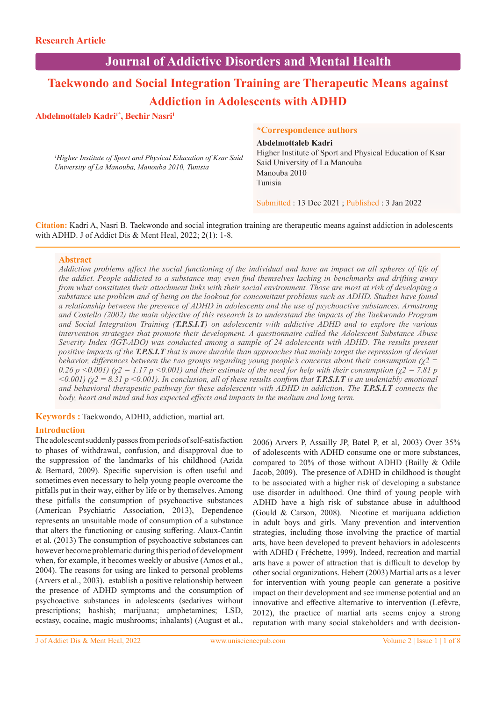## **Journal of Addictive Disorders and Mental Health**

# **Taekwondo and Social Integration Training are Therapeutic Means against Addiction in Adolescents with ADHD**

## Abdelmottaleb Kadri<sup>1\*</sup>, Bechir Nasri<sup>1</sup>

*1 Higher Institute of Sport and Physical Education of Ksar Said University of La Manouba, Manouba 2010, Tunisia*

## **\*Correspondence authors**

#### **Abdelmottaleb Kadri**

Higher Institute of Sport and Physical Education of Ksar Said University of La Manouba Manouba 2010 Tunisia

Submitted : 13 Dec 2021 ; Published : 3 Jan 2022

**Citation:** Kadri A, Nasri B. Taekwondo and social integration training are therapeutic means against addiction in adolescents with ADHD. J of Addict Dis & Ment Heal, 2022; 2(1): 1-8.

## **Abstract**

*Addiction problems affect the social functioning of the individual and have an impact on all spheres of life of the addict. People addicted to a substance may even find themselves lacking in benchmarks and drifting away from what constitutes their attachment links with their social environment. Those are most at risk of developing a substance use problem and of being on the lookout for concomitant problems such as ADHD. Studies have found a relationship between the presence of ADHD in adolescents and the use of psychoactive substances. Armstrong and Costello (2002) the main objective of this research is to understand the impacts of the Taekwondo Program and Social Integration Training (T.P.S.I.T) on adolescents with addictive ADHD and to explore the various intervention strategies that promote their development. A questionnaire called the Adolescent Substance Abuse Severity Index (IGT-ADO) was conducted among a sample of 24 adolescents with ADHD. The results present positive impacts of the T.P.S.I.T that is more durable than approaches that mainly target the repression of deviant behavior, differences between the two groups regarding young people's concerns about their consumption (χ2 =*   $(0.26 \, p \leq 0.001)$  ( $\chi$ 2 = 1.17 p  $\leq 0.001$ ) and their estimate of the need for help with their consumption ( $\chi$ 2 = 7.81 p  $(0.001)$  ( $\chi$ 2 = 8.31 p < 0.001). In conclusion, all of these results confirm that *T.P.S.I.T* is an undeniably emotional *and behavioral therapeutic pathway for these adolescents with ADHD in addiction. The T.P.S.I.T connects the body, heart and mind and has expected effects and impacts in the medium and long term.*

**Keywords :** Taekwondo, ADHD, addiction, martial art.

## **Introduction**

The adolescent suddenly passes from periods of self-satisfaction to phases of withdrawal, confusion, and disapproval due to the suppression of the landmarks of his childhood (Azida & Bernard, 2009). Specific supervision is often useful and sometimes even necessary to help young people overcome the pitfalls put in their way, either by life or by themselves. Among these pitfalls the consumption of psychoactive substances (American Psychiatric Association, 2013), Dependence represents an unsuitable mode of consumption of a substance that alters the functioning or causing suffering. Alaux-Cantin et al. (2013) The consumption of psychoactive substances can however become problematic during this period of development when, for example, it becomes weekly or abusive (Amos et al., 2004). The reasons for using are linked to personal problems (Arvers et al., 2003). establish a positive relationship between the presence of ADHD symptoms and the consumption of psychoactive substances in adolescents (sedatives without prescriptions; hashish; marijuana; amphetamines; LSD, ecstasy, cocaine, magic mushrooms; inhalants) (August et al.,

2006) Arvers P, Assailly JP, Batel P, et al, 2003) Over 35% of adolescents with ADHD consume one or more substances, compared to 20% of those without ADHD (Bailly & Odile Jacob, 2009). The presence of ADHD in childhood is thought to be associated with a higher risk of developing a substance use disorder in adulthood. One third of young people with ADHD have a high risk of substance abuse in adulthood (Gould & Carson, 2008). Nicotine et marijuana addiction in adult boys and girls. Many prevention and intervention strategies, including those involving the practice of martial arts, have been developed to prevent behaviors in adolescents with ADHD ( Fréchette, 1999). Indeed, recreation and martial arts have a power of attraction that is difficult to develop by other social organizations. Hebert (2003) Martial arts as a lever for intervention with young people can generate a positive impact on their development and see immense potential and an innovative and effective alternative to intervention (Lefèvre, 2012), the practice of martial arts seems enjoy a strong reputation with many social stakeholders and with decision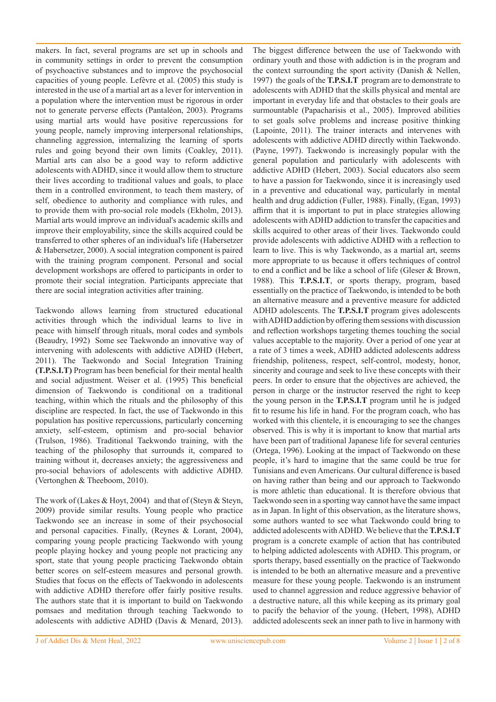makers. In fact, several programs are set up in schools and in community settings in order to prevent the consumption of psychoactive substances and to improve the psychosocial capacities of young people. Lefèvre et al. (2005) this study is interested in the use of a martial art as a lever for intervention in a population where the intervention must be rigorous in order not to generate perverse effects (Pantaléon, 2003). Programs using martial arts would have positive repercussions for young people, namely improving interpersonal relationships, channeling aggression, internalizing the learning of sports rules and going beyond their own limits (Coakley, 2011). Martial arts can also be a good way to reform addictive adolescents with ADHD, since it would allow them to structure their lives according to traditional values and goals, to place them in a controlled environment, to teach them mastery, of self, obedience to authority and compliance with rules, and to provide them with pro-social role models (Ekholm, 2013). Martial arts would improve an individual's academic skills and improve their employability, since the skills acquired could be transferred to other spheres of an individual's life (Habersetzer & Habersetzer, 2000). A social integration component is paired with the training program component. Personal and social development workshops are offered to participants in order to promote their social integration. Participants appreciate that there are social integration activities after training.

Taekwondo allows learning from structured educational activities through which the individual learns to live in peace with himself through rituals, moral codes and symbols (Beaudry, 1992) Some see Taekwondo an innovative way of intervening with adolescents with addictive ADHD (Hebert, 2011). The Taekwondo and Social Integration Training **(T.P.S.I.T)** Program has been beneficial for their mental health and social adjustment. Weiser et al. (1995) This beneficial dimension of Taekwondo is conditional on a traditional teaching, within which the rituals and the philosophy of this discipline are respected. In fact, the use of Taekwondo in this population has positive repercussions, particularly concerning anxiety, self-esteem, optimism and pro-social behavior (Trulson, 1986). Traditional Taekwondo training, with the teaching of the philosophy that surrounds it, compared to training without it, decreases anxiety; the aggressiveness and pro-social behaviors of adolescents with addictive ADHD. (Vertonghen & Theeboom, 2010).

The work of (Lakes & Hoyt, 2004) and that of (Steyn & Steyn, 2009) provide similar results. Young people who practice Taekwondo see an increase in some of their psychosocial and personal capacities. Finally, (Reynes & Lorant, 2004), comparing young people practicing Taekwondo with young people playing hockey and young people not practicing any sport, state that young people practicing Taekwondo obtain better scores on self-esteem measures and personal growth. Studies that focus on the effects of Taekwondo in adolescents with addictive ADHD therefore offer fairly positive results. The authors state that it is important to build on Taekwondo pomsaes and meditation through teaching Taekwondo to adolescents with addictive ADHD (Davis & Menard, 2013).

The biggest difference between the use of Taekwondo with ordinary youth and those with addiction is in the program and the context surrounding the sport activity (Danish & Nellen, 1997) the goals of the **T.P.S.I.T** program are to demonstrate to adolescents with ADHD that the skills physical and mental are important in everyday life and that obstacles to their goals are surmountable (Papacharisis et al., 2005). Improved abilities to set goals solve problems and increase positive thinking (Lapointe, 2011). The trainer interacts and intervenes with adolescents with addictive ADHD directly within Taekwondo. (Payne, 1997). Taekwondo is increasingly popular with the general population and particularly with adolescents with addictive ADHD (Hebert, 2003). Social educators also seem to have a passion for Taekwondo, since it is increasingly used in a preventive and educational way, particularly in mental health and drug addiction (Fuller, 1988). Finally, (Egan, 1993) affirm that it is important to put in place strategies allowing adolescents with ADHD addiction to transfer the capacities and skills acquired to other areas of their lives. Taekwondo could provide adolescents with addictive ADHD with a reflection to learn to live. This is why Taekwondo, as a martial art, seems more appropriate to us because it offers techniques of control to end a conflict and be like a school of life (Gleser & Brown, 1988). This **T.P.S.I.T**, or sports therapy, program, based essentially on the practice of Taekwondo, is intended to be both an alternative measure and a preventive measure for addicted ADHD adolescents. The **T.P.S.I.T** program gives adolescents with ADHD addiction by offering them sessions with discussion and reflection workshops targeting themes touching the social values acceptable to the majority. Over a period of one year at a rate of 3 times a week, ADHD addicted adolescents address friendship, politeness, respect, self-control, modesty, honor, sincerity and courage and seek to live these concepts with their peers. In order to ensure that the objectives are achieved, the person in charge or the instructor reserved the right to keep the young person in the **T.P.S.I.T** program until he is judged fit to resume his life in hand. For the program coach, who has worked with this clientele, it is encouraging to see the changes observed. This is why it is important to know that martial arts have been part of traditional Japanese life for several centuries (Ortega, 1996). Looking at the impact of Taekwondo on these people, it's hard to imagine that the same could be true for Tunisians and even Americans. Our cultural difference is based on having rather than being and our approach to Taekwondo is more athletic than educational. It is therefore obvious that Taekwondo seen in a sporting way cannot have the same impact as in Japan. In light of this observation, as the literature shows, some authors wanted to see what Taekwondo could bring to addicted adolescents with ADHD. We believe that the **T.P.S.I.T**  program is a concrete example of action that has contributed to helping addicted adolescents with ADHD. This program, or sports therapy, based essentially on the practice of Taekwondo is intended to be both an alternative measure and a preventive measure for these young people. Taekwondo is an instrument used to channel aggression and reduce aggressive behavior of a destructive nature, all this while keeping as its primary goal to pacify the behavior of the young. (Hebert, 1998), ADHD addicted adolescents seek an inner path to live in harmony with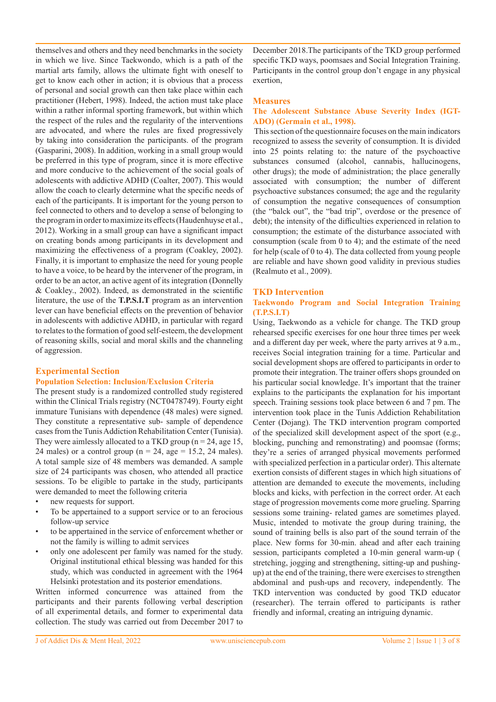themselves and others and they need benchmarks in the society in which we live. Since Taekwondo, which is a path of the martial arts family, allows the ultimate fight with oneself to get to know each other in action; it is obvious that a process of personal and social growth can then take place within each practitioner (Hebert, 1998). Indeed, the action must take place within a rather informal sporting framework, but within which the respect of the rules and the regularity of the interventions are advocated, and where the rules are fixed progressively by taking into consideration the participants. of the program (Gasparini, 2008). In addition, working in a small group would be preferred in this type of program, since it is more effective and more conducive to the achievement of the social goals of adolescents with addictive ADHD (Coalter, 2007). This would allow the coach to clearly determine what the specific needs of each of the participants. It is important for the young person to feel connected to others and to develop a sense of belonging to the program in order to maximize its effects (Haudenhuyse et al., 2012). Working in a small group can have a significant impact on creating bonds among participants in its development and maximizing the effectiveness of a program (Coakley, 2002). Finally, it is important to emphasize the need for young people to have a voice, to be heard by the intervener of the program, in order to be an actor, an active agent of its integration (Donnelly & Coakley., 2002). Indeed, as demonstrated in the scientific literature, the use of the **T.P.S.I.T** program as an intervention lever can have beneficial effects on the prevention of behavior in adolescents with addictive ADHD, in particular with regard to relates to the formation of good self-esteem, the development of reasoning skills, social and moral skills and the channeling of aggression.

## **Experimental Section**

#### **Population Selection: Inclusion/Exclusion Criteria**

The present study is a randomized controlled study registered within the Clinical Trials registry (NCT0478749). Fourty eight immature Tunisians with dependence (48 males) were signed. They constitute a representative sub- sample of dependence cases from the Tunis Addiction Rehabilitation Center (Tunisia). They were aimlessly allocated to a TKD group ( $n = 24$ , age 15, 24 males) or a control group ( $n = 24$ , age = 15.2, 24 males). A total sample size of 48 members was demanded. A sample size of 24 participants was chosen, who attended all practice sessions. To be eligible to partake in the study, participants were demanded to meet the following criteria

- new requests for support.
- To be appertained to a support service or to an ferocious follow-up service
- to be appertained in the service of enforcement whether or not the family is willing to admit services
- only one adolescent per family was named for the study. Original institutional ethical blessing was handed for this study, which was conducted in agreement with the 1964 Helsinki protestation and its posterior emendations.

Written informed concurrence was attained from the participants and their parents following verbal description of all experimental details, and former to experimental data collection. The study was carried out from December 2017 to

December 2018.The participants of the TKD group performed specific TKD ways, poomsaes and Social Integration Training. Participants in the control group don't engage in any physical exertion,

#### **Measures**

### **The Adolescent Substance Abuse Severity Index (IGT-ADO) (Germain et al., 1998).**

 This section of the questionnaire focuses on the main indicators recognized to assess the severity of consumption. It is divided into 25 points relating to: the nature of the psychoactive substances consumed (alcohol, cannabis, hallucinogens, other drugs); the mode of administration; the place generally associated with consumption; the number of different psychoactive substances consumed; the age and the regularity of consumption the negative consequences of consumption (the "balck out", the "bad trip", overdose or the presence of debt); the intensity of the difficulties experienced in relation to consumption; the estimate of the disturbance associated with consumption (scale from 0 to 4); and the estimate of the need for help (scale of 0 to 4). The data collected from young people are reliable and have shown good validity in previous studies (Realmuto et al., 2009).

#### **TKD Intervention**

## **Taekwondo Program and Social Integration Training (T.P.S.I.T)**

Using, Taekwondo as a vehicle for change. The TKD group rehearsed specific exercises for one hour three times per week and a different day per week, where the party arrives at 9 a.m., receives Social integration training for a time. Particular and social development shops are offered to participants in order to promote their integration. The trainer offers shops grounded on his particular social knowledge. It's important that the trainer explains to the participants the explanation for his important speech. Training sessions took place between 6 and 7 pm. The intervention took place in the Tunis Addiction Rehabilitation Center (Dojang). The TKD intervention program comported of the specialized skill development aspect of the sport (e.g., blocking, punching and remonstrating) and poomsae (forms; they're a series of arranged physical movements performed with specialized perfection in a particular order). This alternate exertion consists of different stages in which high situations of attention are demanded to execute the movements, including blocks and kicks, with perfection in the correct order. At each stage of progression movements come more grueling. Sparring sessions some training- related games are sometimes played. Music, intended to motivate the group during training, the sound of training bells is also part of the sound terrain of the place. New forms for 30-min. ahead and after each training session, participants completed a 10-min general warm-up ( stretching, jogging and strengthening, sitting-up and pushingup) at the end of the training, there were exercises to strengthen abdominal and push-ups and recovery, independently. The TKD intervention was conducted by good TKD educator (researcher). The terrain offered to participants is rather friendly and informal, creating an intriguing dynamic.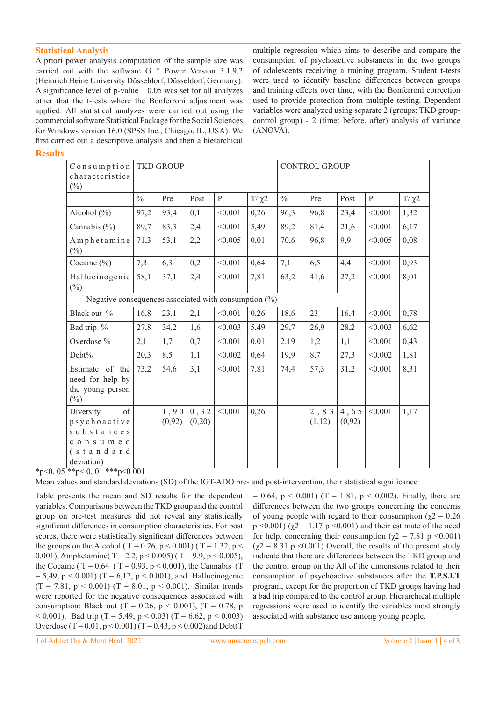## **Statistical Analysis**

A priori power analysis computation of the sample size was carried out with the software G \* Power Version 3.1.9.2 (Heinrich Heine University Düsseldorf, Düsseldorf, Germany). A significance level of p-value \_ 0.05 was set for all analyzes other that the t-tests where the Bonferroni adjustment was applied. All statistical analyzes were carried out using the commercial software Statistical Package for the Social Sciences for Windows version 16.0 (SPSS Inc., Chicago, IL, USA). We first carried out a descriptive analysis and then a hierarchical

multiple regression which aims to describe and compare the consumption of psychoactive substances in the two groups of adolescents receiving a training program, Student t-tests were used to identify baseline differences between groups and training effects over time, with the Bonferroni correction used to provide protection from multiple testing. Dependent variables were analyzed using separate 2 (groups: TKD groupcontrol group) - 2 (time: before, after) analysis of variance (ANOVA).

## **Results**

| Consumption<br>characteristics<br>$(\%)$                                             | <b>TKD GROUP</b> |                |                 |              |            | <b>CONTROL GROUP</b> |                |                 |         |            |
|--------------------------------------------------------------------------------------|------------------|----------------|-----------------|--------------|------------|----------------------|----------------|-----------------|---------|------------|
|                                                                                      | $\frac{0}{0}$    | Pre            | Post            | $\mathbf{P}$ | $T/\chi^2$ | $\frac{0}{0}$        | Pre            | Post            | P       | $T/\chi^2$ |
| Alcohol $(\% )$                                                                      | 97,2             | 93,4           | 0,1             | < 0.001      | 0,26       | 96,3                 | 96,8           | 23,4            | < 0.001 | 1,32       |
| Cannabis $(\% )$                                                                     | 89,7             | 83,3           | 2,4             | < 0.001      | 5,49       | 89,2                 | 81,4           | 21,6            | < 0.001 | 6,17       |
| Amphetamine<br>$(\%)$                                                                | 71,3             | 53,1           | 2,2             | < 0.005      | 0,01       | 70,6                 | 96,8           | 9,9             | < 0.005 | 0,08       |
| Cocaine (%)                                                                          | 7,3              | 6,3            | 0,2             | < 0.001      | 0,64       | 7,1                  | 6,5            | 4,4             | < 0.001 | 0,93       |
| Hallucinogenic<br>$(\%)$                                                             | 58,1             | 37,1           | 2,4             | < 0.001      | 7,81       | 63,2                 | 41,6           | 27,2            | < 0.001 | 8,01       |
| Negative consequences associated with consumption $(\%)$                             |                  |                |                 |              |            |                      |                |                 |         |            |
| Black out %                                                                          | 16,8             | 23,1           | 2,1             | < 0.001      | 0,26       | 18,6                 | 23             | 16,4            | < 0.001 | 0,78       |
| Bad trip %                                                                           | 27,8             | 34,2           | 1,6             | < 0.003      | 5,49       | 29,7                 | 26,9           | 28,2            | < 0.003 | 6,62       |
| Overdose %                                                                           | 2,1              | 1,7            | 0,7             | < 0.001      | 0,01       | 2,19                 | 1,2            | 1,1             | < 0.001 | 0,43       |
| Debt%                                                                                | 20,3             | 8,5            | 1,1             | < 0.002      | 0,64       | 19,9                 | 8,7            | 27,3            | < 0.002 | 1,81       |
| Estimate of the<br>need for help by<br>the young person<br>$(\%)$                    | 73,2             | 54,6           | 3,1             | < 0.001      | 7,81       | 74,4                 | 57,3           | 31,2            | < 0.001 | 8,31       |
| Diversity<br>of<br>psychoactive<br>substances<br>consumed<br>(standard<br>deviation) |                  | 1,90<br>(0,92) | 0, 32<br>(0,20) | < 0.001      | 0,26       |                      | 2,83<br>(1,12) | 4,65<br>(0, 92) | < 0.001 | 1,17       |

 $*_{p<0, 05}$   $*_{p<0, 01}$   $*_{p<0, 01}$ 

Mean values and standard deviations (SD) of the IGT-ADO pre- and post-intervention, their statistical significance

Table presents the mean and SD results for the dependent variables. Comparisons between the TKD group and the control group on pre-test measures did not reveal any statistically significant differences in consumption characteristics. For post scores, there were statistically significant differences between the groups on the Alcohol ( T = 0.26, p < 0.001) ( T = 1.32, p < 0.001), Amphetamine( T = 2.2, p < 0.005) ( T = 9.9, p < 0.005), the Cocaine (  $T = 0.64$  (  $T = 0.93$ ,  $p < 0.001$ ), the Cannabis (T  $= 5,49, p < 0.001$ ) (T = 6,17, p < 0.001), and Hallucinogenic  $(T = 7.81, p < 0.001)$   $(T = 8.01, p < 0.001)$ . Similar trends were reported for the negative consequences associated with consumption: Black out (T = 0.26, p < 0.001), (T = 0.78, p  $(5.001)$ , Bad trip (T = 5.49, p  $(0.003)$  (T = 6.62, p  $(0.003)$ ) Overdose (T =  $0.01$ , p <  $0.001$ ) (T =  $0.43$ , p <  $0.002$ )and Debt(T

 $= 0.64$ ,  $p < 0.001$ ) (T = 1.81,  $p < 0.002$ ). Finally, there are differences between the two groups concerning the concerns of young people with regard to their consumption ( $\chi$ 2 = 0.26 p <0.001) ( $\chi$ 2 = 1.17 p <0.001) and their estimate of the need for help. concerning their consumption ( $\chi$ 2 = 7.81 p <0.001)  $(\chi^2 = 8.31 \text{ p} \le 0.001)$  Overall, the results of the present study indicate that there are differences between the TKD group and the control group on the All of the dimensions related to their consumption of psychoactive substances after the **T.P.S.I.T**  program, except for the proportion of TKD groups having had a bad trip compared to the control group. Hierarchical multiple regressions were used to identify the variables most strongly associated with substance use among young people.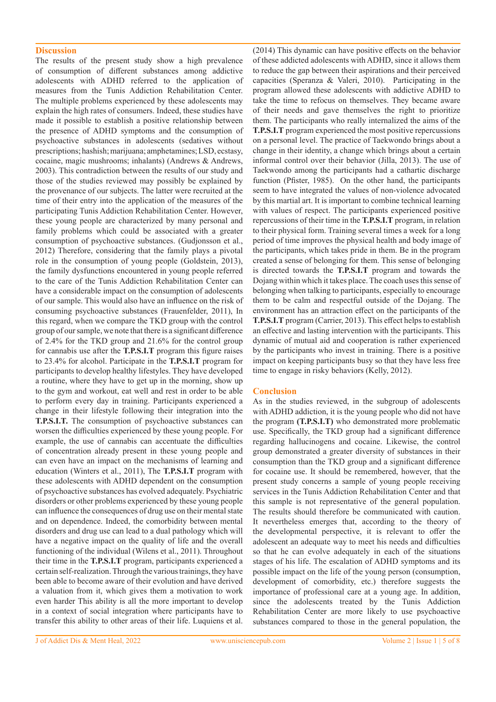#### **Discussion**

The results of the present study show a high prevalence of consumption of different substances among addictive adolescents with ADHD referred to the application of measures from the Tunis Addiction Rehabilitation Center. The multiple problems experienced by these adolescents may explain the high rates of consumers. Indeed, these studies have made it possible to establish a positive relationship between the presence of ADHD symptoms and the consumption of psychoactive substances in adolescents (sedatives without prescriptions; hashish; marijuana; amphetamines; LSD, ecstasy, cocaine, magic mushrooms; inhalants) (Andrews & Andrews, 2003). This contradiction between the results of our study and those of the studies reviewed may possibly be explained by the provenance of our subjects. The latter were recruited at the time of their entry into the application of the measures of the participating Tunis Addiction Rehabilitation Center. However, these young people are characterized by many personal and family problems which could be associated with a greater consumption of psychoactive substances. (Gudjonsson et al., 2012) Therefore, considering that the family plays a pivotal role in the consumption of young people (Goldstein, 2013), the family dysfunctions encountered in young people referred to the care of the Tunis Addiction Rehabilitation Center can have a considerable impact on the consumption of adolescents of our sample. This would also have an influence on the risk of consuming psychoactive substances (Frauenfelder, 2011), In this regard, when we compare the TKD group with the control group of our sample, we note that there is a significant difference of 2.4% for the TKD group and 21.6% for the control group for cannabis use after the **T.P.S.I.T** program this figure raises to 23.4% for alcohol. Participate in the **T.P.S.I.T** program for participants to develop healthy lifestyles. They have developed a routine, where they have to get up in the morning, show up to the gym and workout, eat well and rest in order to be able to perform every day in training. Participants experienced a change in their lifestyle following their integration into the **T.P.S.I.T.** The consumption of psychoactive substances can worsen the difficulties experienced by these young people. For example, the use of cannabis can accentuate the difficulties of concentration already present in these young people and can even have an impact on the mechanisms of learning and education (Winters et al., 2011), The **T.P.S.I.T** program with these adolescents with ADHD dependent on the consumption of psychoactive substances has evolved adequately. Psychiatric disorders or other problems experienced by these young people can influence the consequences of drug use on their mental state and on dependence. Indeed, the comorbidity between mental disorders and drug use can lead to a dual pathology which will have a negative impact on the quality of life and the overall functioning of the individual (Wilens et al., 2011). Throughout their time in the **T.P.S.I.T** program, participants experienced a certain self-realization. Through the various trainings, they have been able to become aware of their evolution and have derived a valuation from it, which gives them a motivation to work even harder This ability is all the more important to develop in a context of social integration where participants have to transfer this ability to other areas of their life. Luquiens et al.

(2014) This dynamic can have positive effects on the behavior of these addicted adolescents with ADHD, since it allows them to reduce the gap between their aspirations and their perceived capacities (Speranza & Valeri, 2010). Participating in the program allowed these adolescents with addictive ADHD to take the time to refocus on themselves. They became aware of their needs and gave themselves the right to prioritize them. The participants who really internalized the aims of the **T.P.S.I.T** program experienced the most positive repercussions on a personal level. The practice of Taekwondo brings about a change in their identity, a change which brings about a certain informal control over their behavior (Jilla, 2013). The use of Taekwondo among the participants had a cathartic discharge function (Pfister, 1985). On the other hand, the participants seem to have integrated the values of non-violence advocated by this martial art. It is important to combine technical learning with values of respect. The participants experienced positive repercussions of their time in the **T.P.S.I.T** program, in relation to their physical form. Training several times a week for a long period of time improves the physical health and body image of the participants, which takes pride in them. Be in the program created a sense of belonging for them. This sense of belonging is directed towards the **T.P.S.I.T** program and towards the Dojang within which it takes place. The coach uses this sense of belonging when talking to participants, especially to encourage them to be calm and respectful outside of the Dojang. The environment has an attraction effect on the participants of the **T.P.S.I.T** program (Carrier, 2013). This effect helps to establish an effective and lasting intervention with the participants. This dynamic of mutual aid and cooperation is rather experienced by the participants who invest in training. There is a positive impact on keeping participants busy so that they have less free time to engage in risky behaviors (Kelly, 2012).

#### **Conclusion**

As in the studies reviewed, in the subgroup of adolescents with ADHD addiction, it is the young people who did not have the program **(T.P.S.I.T)** who demonstrated more problematic use. Specifically, the TKD group had a significant difference regarding hallucinogens and cocaine. Likewise, the control group demonstrated a greater diversity of substances in their consumption than the TKD group and a significant difference for cocaine use. It should be remembered, however, that the present study concerns a sample of young people receiving services in the Tunis Addiction Rehabilitation Center and that this sample is not representative of the general population. The results should therefore be communicated with caution. It nevertheless emerges that, according to the theory of the developmental perspective, it is relevant to offer the adolescent an adequate way to meet his needs and difficulties so that he can evolve adequately in each of the situations stages of his life. The escalation of ADHD symptoms and its possible impact on the life of the young person (consumption, development of comorbidity, etc.) therefore suggests the importance of professional care at a young age. In addition, since the adolescents treated by the Tunis Addiction Rehabilitation Center are more likely to use psychoactive substances compared to those in the general population, the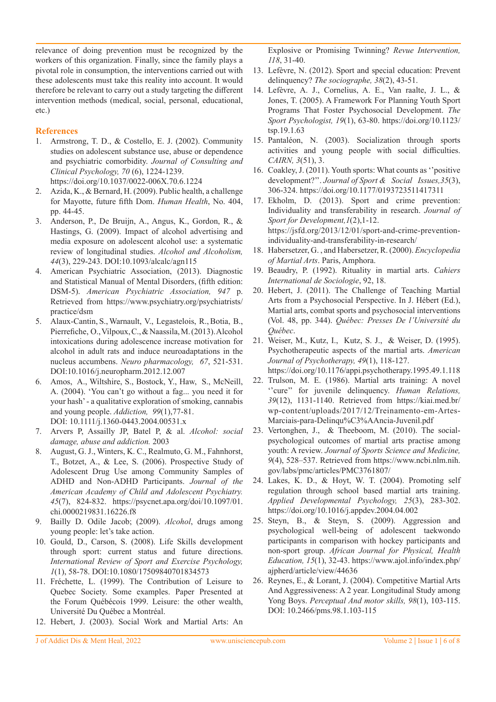relevance of doing prevention must be recognized by the workers of this organization. Finally, since the family plays a pivotal role in consumption, the interventions carried out with these adolescents must take this reality into account. It would therefore be relevant to carry out a study targeting the different intervention methods (medical, social, personal, educational, etc.)

## **References**

- 1. Armstrong, T. D., & Costello, E. J. (2002). Community studies on adolescent substance use, abuse or dependence and psychiatric comorbidity. *Journal of Consulting and Clinical Psychology, 70* (6), 1224-1239. https://doi.org/10.1037/0022-006X.70.6.1224
- 2. Azida, K., & Bernard, H. (2009). Public health, a challenge for Mayotte, future fifth Dom. *Human Health*, No. 404, pp. 44-45.
- 3. Anderson, P., De Bruijn, A., Angus, K., Gordon, R., & Hastings, G. (2009). Impact of alcohol advertising and media exposure on adolescent alcohol use: a systematic review of longitudinal studies. *Alcohol and Alcoholism, 44*(3), 229-243. DOI:10.1093/alcalc/agn115
- 4. American Psychiatric Association, (2013). Diagnostic and Statistical Manual of Mental Disorders, (fifth edition: DSM-5). *American Psychiatric Association, 947* p. Retrieved from https://www.psychiatry.org/psychiatrists/ practice/dsm
- 5. Alaux-Cantin, S., Warnault, V., Legastelois, R., Botia, B., Pierrefiche, O., Vilpoux, C., & Naassila, M. (2013). Alcohol intoxications during adolescence increase motivation for alcohol in adult rats and induce neuroadaptations in the nucleus accumbens. *Neuro pharmacology, 67*, 521-531. DOI:10.1016/j.neuropharm.2012.12.007
- 6. Amos, A., Wiltshire, S., Bostock, Y., Haw, S., McNeill, A. (2004). 'You can't go without a fag... you need it for your hash' - a qualitative exploration of smoking, cannabis and young people. *Addiction, 99*(1),77-81. DOI: 10.1111/j.1360-0443.2004.00531.x
- 7. Arvers P, Assailly JP, Batel P, & al. *Alcohol: social damage, abuse and addiction.* 2003
- 8. August, G. J., Winters, K. C., Realmuto, G. M., Fahnhorst, T., Botzet, A., & Lee, S. (2006). Prospective Study of Adolescent Drug Use among Community Samples of ADHD and Non-ADHD Participants. *Journal of the American Academy of Child and Adolescent Psychiatry. 45*(7), 824-832. https://psycnet.apa.org/doi/10.1097/01. chi.0000219831.16226.f8
- 9. Bailly D. Odile Jacob; (2009). *Alcohol*, drugs among young people: let's take action.
- 10. Gould, D., Carson, S. (2008). Life Skills development through sport: current status and future directions. *International Review of Sport and Exercise Psychology, 1*(1), 58-78. DOI:10.1080/17509840701834573
- 11. Fréchette, L. (1999). The Contribution of Leisure to Quebec Society. Some examples. Paper Presented at the Forum Québécois 1999. Leisure: the other wealth, Université Du Québec a Montréal.
- 12. Hebert, J. (2003). Social Work and Martial Arts: An

Explosive or Promising Twinning? *Revue Intervention, 118*, 31-40.

- 13. Lefèvre, N. (2012). Sport and special education: Prevent delinquency? *The sociographe, 38*(2), 43-51.
- 14. Lefèvre, A. J., Cornelius, A. E., Van raalte, J. L., & Jones, T. (2005). A Framework For Planning Youth Sport Programs That Foster Psychosocial Development. *The Sport Psychologist, 19*(1), 63-80. https://doi.org/10.1123/ tsp.19.1.63
- 15. Pantaléon, N. (2003). Socialization through sports activities and young people with social difficulties. *CAIRN, 3*(51), 3.
- 16. Coakley, J. (2011). Youth sports: What counts as ''positive development?''. *Journal of Sport & Social Issues,35*(3), 306-324. https://doi.org/10.1177/0193723511417311
- 17. Ekholm, D. (2013). Sport and crime prevention: Individuality and transferability in research. *Journal of Sport for Development,1*(2),1-12. https://jsfd.org/2013/12/01/sport-and-crime-preventionindividuality-and-transferability-in-research/
- 18. Habersetzer, G. , and Habersetzer, R. (2000). *Encyclopedia of Martial Arts*. Paris, Amphora.
- 19. Beaudry, P. (1992). Rituality in martial arts. *Cahiers International de Sociologie*, 92, 18.
- 20. Hebert, J. (2011). The Challenge of Teaching Martial Arts from a Psychosocial Perspective. In J. Hébert (Ed.), Martial arts, combat sports and psychosocial interventions (Vol. 48, pp. 344). *Québec: Presses De l'Université du Québec*.
- 21. Weiser, M., Kutz, I., Kutz, S. J., & Weiser, D. (1995). Psychotherapeutic aspects of the martial arts. *American Journal of Psychotherapy, 49*(1), 118-127. https://doi.org/10.1176/appi.psychotherapy.1995.49.1.118
- 22. Trulson, M. E. (1986). Martial arts training: A novel ''cure'' for juvenile delinquency. *Human Relations, 39*(12), 1131-1140. Retrieved from https://kiai.med.br/ wp-content/uploads/2017/12/Treinamento-em-Artes-Marciais-para-Delinqu%C3%AAncia-Juvenil.pdf
- 23. Vertonghen, J., & Theeboom, M. (2010). The socialpsychological outcomes of martial arts practise among youth: A review. *Journal of Sports Science and Medicine, 9*(4), 528–537. Retrieved from https://www.ncbi.nlm.nih. gov/labs/pmc/articles/PMC3761807/
- 24. Lakes, K. D., & Hoyt, W. T. (2004). Promoting self regulation through school based martial arts training. *Applied Developmental Psychology, 25*(3), 283-302. https://doi.org/10.1016/j.appdev.2004.04.002
- 25. Steyn, B., & Steyn, S. (2009). Aggression and psychological well-being of adolescent taekwondo participants in comparison with hockey participants and non-sport group. *African Journal for Physical, Health Education, 15*(1), 32-43. https://www.ajol.info/index.php/ ajpherd/article/view/44636
- 26. Reynes, E., & Lorant, J. (2004). Competitive Martial Arts And Aggressiveness: A 2 year. Longitudinal Study among Yong Boys. *Perceptual And motor skills, 98*(1), 103-115. DOI: 10.2466/pms.98.1.103-115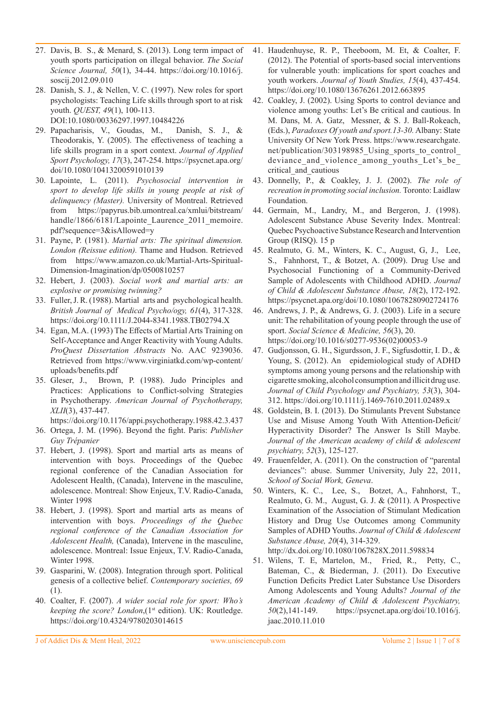- 27. Davis, B. S., & Menard, S. (2013). Long term impact of youth sports participation on illegal behavior. *The Social Science Journal, 50*(1), 34-44. https://doi.org/10.1016/j. soscij.2012.09.010
- 28. Danish, S. J., & Nellen, V. C. (1997). New roles for sport psychologists: Teaching Life skills through sport to at risk youth. *QUEST, 49*(1), 100-113. DOI:10.1080/00336297.1997.10484226
- 29. Papacharisis, V., Goudas, M., Danish, S. J., & Theodorakis, Y. (2005). The effectiveness of teaching a life skills program in a sport context. *Journal of Applied Sport Psychology, 17*(3), 247-254. https://psycnet.apa.org/ doi/10.1080/10413200591010139
- 30. Lapointe, L. (2011). *Psychosocial intervention in sport to develop life skills in young people at risk of delinquency (Master).* University of Montreal. Retrieved from https://papyrus.bib.umontreal.ca/xmlui/bitstream/ handle/1866/6181/Lapointe Laurence 2011 memoire. pdf?sequence=3&isAllowed=y
- 31. Payne, P. (1981). *Martial arts: The spiritual dimension. London (Reissue edition).* Thame and Hudson. Retrieved from https://www.amazon.co.uk/Martial-Arts-Spiritual-Dimension-Imagination/dp/0500810257
- 32. Hebert, J. (2003). *Social work and martial arts: an explosive or promising twinning?*
- 33. Fuller, J. R. (1988). Martial arts and psychological health. *British Journal of Medical Psycho/ogy, 61*(4), 317-328. https://doi.org/10.1111/J.2044-8341.1988.TB02794.X
- 34. Egan, M.A. (1993) The Effects of Martial Arts Training on Self-Acceptance and Anger Reactivity with Young Adults. *ProQuest Dissertation Abstracts* No. AAC 9239036. Retrieved from https://www.virginiatkd.com/wp-content/ uploads/benefits.pdf
- 35. Gleser, J., Brown, P. (1988). Judo Principles and Practices: Applications to Conflict-solving Strategies in Psychotherapy. *American Journal of Psychotherapy, XLII*(3), 437-447.

https://doi.org/10.1176/appi.psychotherapy.1988.42.3.437

- 36. Ortega, J. M. (1996). Beyond the fight. Paris: *Publisher Guy Trépanier*
- 37. Hebert, J. (1998). Sport and martial arts as means of intervention with boys. Proceedings of the Quebec regional conference of the Canadian Association for Adolescent Health, (Canada), Intervene in the masculine, adolescence. Montreal: Show Enjeux, T.V. Radio-Canada, Winter 1998
- 38. Hebert, J. (1998). Sport and martial arts as means of intervention with boys. *Proceedings of the Quebec regional conference of the Canadian Association for Adolescent Health,* (Canada), Intervene in the masculine, adolescence. Montreal: Issue Enjeux, T.V. Radio-Canada, Winter 1998.
- 39. Gasparini, W. (2008). Integration through sport. Political genesis of a collective belief. *Contemporary societies, 69*  (1).
- 40. Coalter, F. (2007). *A wider social role for sport: Who's keeping the score? London*,(1<sup>st</sup> edition). UK: Routledge. https://doi.org/10.4324/9780203014615
- 41. Haudenhuyse, R. P., Theeboom, M. Et, & Coalter, F. (2012). The Potential of sports-based social interventions for vulnerable youth: implications for sport coaches and youth workers. *Journal of Youth Studies, 15*(4), 437-454. https://doi.org/10.1080/13676261.2012.663895
- 42. Coakley, J. (2002). Using Sports to control deviance and violence among youths: Let's Be critical and cautious. In M. Dans, M. A. Gatz, Messner, & S. J. Ball-Rokeach, (Eds.), *Paradoxes Of youth and sport.13-30.* Albany: State University Of New York Press. https://www.researchgate. net/publication/303198985\_Using\_sports\_to\_control\_ deviance and violence among youths Let's be critical\_and\_cautious
- 43. Donnelly, P., & Coakley, J. J. (2002). *The role of recreation in promoting social inclusion.* Toronto: Laidlaw Foundation.
- 44. Germain, M., Landry, M., and Bergeron, J. (1998). Adolescent Substance Abuse Severity Index. Montreal: Quebec Psychoactive Substance Research and Intervention Group (RISQ). 15 p
- 45. Realmuto, G. M., Winters, K. C., August, G, J., Lee, S., Fahnhorst, T., & Botzet, A. (2009). Drug Use and Psychosocial Functioning of a Community-Derived Sample of Adolescents with Childhood ADHD. *Journal of Child & Adolescent Substance Abuse, 18*(2), 172-192. https://psycnet.apa.org/doi/10.1080/10678280902724176
- 46. Andrews, J. P., & Andrews, G. J. (2003). Life in a secure unit: The rehabilitation of young people through the use of sport. *Social Science & Medicine, 56*(3), 20. https://doi.org/10.1016/s0277-9536(02)00053-9
- 47. Gudjonsson, G. H., Sigurdsson, J. F., Sigfusdottir, I. D., & Young, S. (2012). An epidemiological study of ADHD symptoms among young persons and the relationship with cigarette smoking, alcohol consumption and illicit drug use. *Journal of Child Psychology and Psychiatry, 53*(3), 304- 312. https://doi.org/10.1111/j.1469-7610.2011.02489.x
- 48. Goldstein, B. I. (2013). Do Stimulants Prevent Substance Use and Misuse Among Youth With Attention-Deficit/ Hyperactivity Disorder? The Answer Is Still Maybe. *Journal of the American academy of child & adolescent psychiatry, 52*(3), 125-127.
- 49. Frauenfelder, A. (2011). On the construction of "parental deviances": abuse. Summer University, July 22, 2011, *School of Social Work, Geneva*.
- 50. Winters, K. C., Lee, S., Botzet, A., Fahnhorst, T., Realmuto, G. M., August, G. J. & (2011). A Prospective Examination of the Association of Stimulant Medication History and Drug Use Outcomes among Community Samples of ADHD Youths. *Journal of Child & Adolescent Substance Abuse, 20*(4), 314-329.

http://dx.doi.org/10.1080/1067828X.2011.598834

51. Wilens, T. E, Martelon, M., Fried, R., Petty, C., Bateman, C., & Biederman, J. (2011). Do Executive Function Deficits Predict Later Substance Use Disorders Among Adolescents and Young Adults? *Journal of the American Academy of Child & Adolescent Psychiatry, 50*(2),141-149. https://psycnet.apa.org/doi/10.1016/j. jaac.2010.11.010